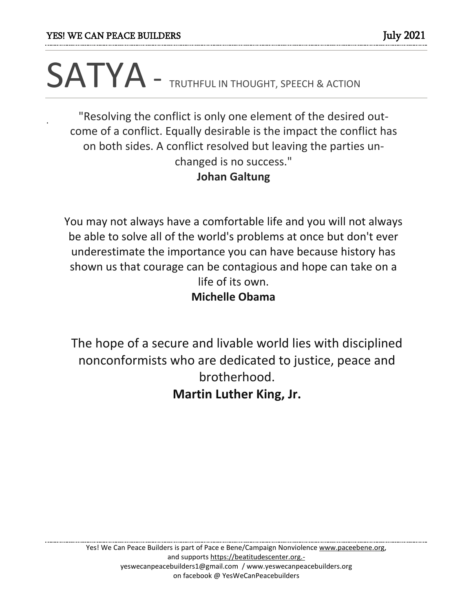.

## SATYA - TRUTHFUL IN THOUGHT, SPEECH & ACTION

"Resolving the conflict is only one element of the desired outcome of a conflict. Equally desirable is the impact the conflict has on both sides. A conflict resolved but leaving the parties unchanged is no success." **Johan Galtung**

You may not always have a comfortable life and you will not always be able to solve all of the world's problems at once but don't ever underestimate the importance you can have because history has shown us that courage can be contagious and hope can take on a life of its own. **Michelle Obama**

The hope of a secure and livable world lies with disciplined nonconformists who are dedicated to justice, peace and brotherhood. **Martin Luther King, Jr.**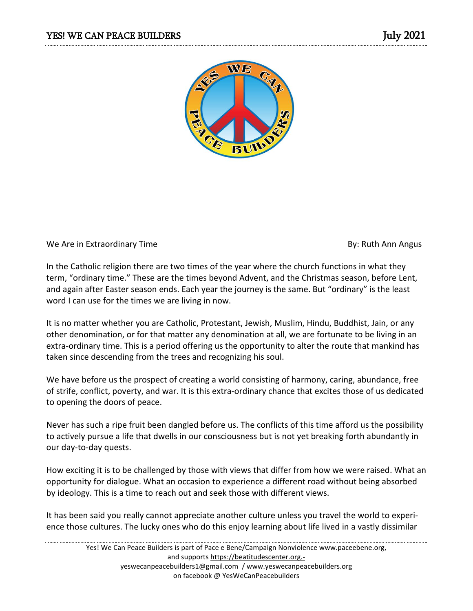

## We Are in Extraordinary Time **By:** Ruth Ann Angus

In the Catholic religion there are two times of the year where the church functions in what they term, "ordinary time." These are the times beyond Advent, and the Christmas season, before Lent, and again after Easter season ends. Each year the journey is the same. But "ordinary" is the least word I can use for the times we are living in now.

It is no matter whether you are Catholic, Protestant, Jewish, Muslim, Hindu, Buddhist, Jain, or any other denomination, or for that matter any denomination at all, we are fortunate to be living in an extra-ordinary time. This is a period offering us the opportunity to alter the route that mankind has taken since descending from the trees and recognizing his soul.

We have before us the prospect of creating a world consisting of harmony, caring, abundance, free of strife, conflict, poverty, and war. It is this extra-ordinary chance that excites those of us dedicated to opening the doors of peace.

Never has such a ripe fruit been dangled before us. The conflicts of this time afford us the possibility to actively pursue a life that dwells in our consciousness but is not yet breaking forth abundantly in our day-to-day quests.

How exciting it is to be challenged by those with views that differ from how we were raised. What an opportunity for dialogue. What an occasion to experience a different road without being absorbed by ideology. This is a time to reach out and seek those with different views.

It has been said you really cannot appreciate another culture unless you travel the world to experience those cultures. The lucky ones who do this enjoy learning about life lived in a vastly dissimilar